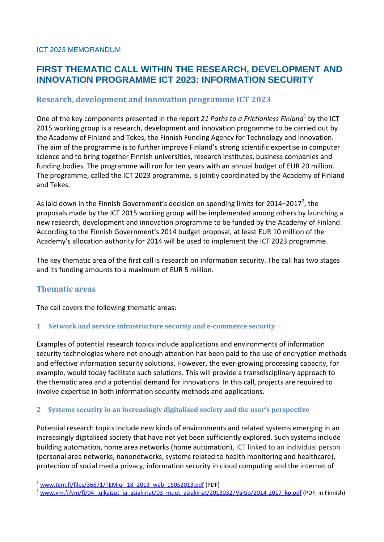# **FIRST THEMATIC CALL WITHIN THE RESEARCH, DEVELOPMENT AND INNOVATION PROGRAMME ICT 2023: INFORMATION SECURITY**

## **Research, development and innovation programme ICT 2023**

One of the key components presented in the report 21 Paths to a Frictionless Finland<sup>1</sup> by the ICT 2015 working group is a research, development and innovation programme to be carried out by the Academy of Finland and Tekes, the Finnish Funding Agency for Technology and Innovation. The aim of the programme is to further improve Finland's strong scientific expertise in computer science and to bring together Finnish universities, research institutes, business companies and funding bodies. The programme will run for ten years with an annual budget of EUR 20 million. The programme, called the ICT 2023 programme, is jointly coordinated by the Academy of Finland and Tekes.

As laid down in the Finnish Government's decision on spending limits for 2014–2017<sup>2</sup>, the proposals made by the ICT 2015 working group will be implemented among others by launching a new research, development and innovation programme to be funded by the Academy of Finland. According to the Finnish Government's 2014 budget proposal, at least EUR 10 million of the Academy's allocation authority for 2014 will be used to implement the ICT 2023 programme.

The key thematic area of the first call is research on information security. The call has two stages and its funding amounts to a maximum of EUR 5 million.

## **Thematic areas**

1

The call covers the following thematic areas:

#### **1 Network and service infrastructure security and e-commerce security**

Examples of potential research topics include applications and environments of information security technologies where not enough attention has been paid to the use of encryption methods and effective information security solutions. However, the ever-growing processing capacity, for example, would today facilitate such solutions. This will provide a transdisciplinary approach to the thematic area and a potential demand for innovations. In this call, projects are required to involve expertise in both information security methods and applications.

#### **2 Systems security in an increasingly digitalised society and the user's perspective**

Potential research topics include new kinds of environments and related systems emerging in an increasingly digitalised society that have not yet been sufficiently explored. Such systems include building automation, home area networks (home automation), ICT linked to an individual person (personal area networks, nanonetworks, systems related to health monitoring and healthcare), protection of social media privacy, information security in cloud computing and the internet of

[www.tem.fi/files/36671/TEMjul\\_18\\_2013\\_web\\_15052013.pdf](http://www.tem.fi/files/36671/TEMjul_18_2013_web_15052013.pdf) (PDF)

[www.vm.fi/vm/fi/04\\_julkaisut\\_ja\\_asiakirjat/03\\_muut\\_asiakirjat/20130327Valtio/2014-2017\\_kp.pdf](http://www.vm.fi/vm/fi/04_julkaisut_ja_asiakirjat/03_muut_asiakirjat/20130327Valtio/2014-2017_kp.pdf) (PDF, in Finnish)